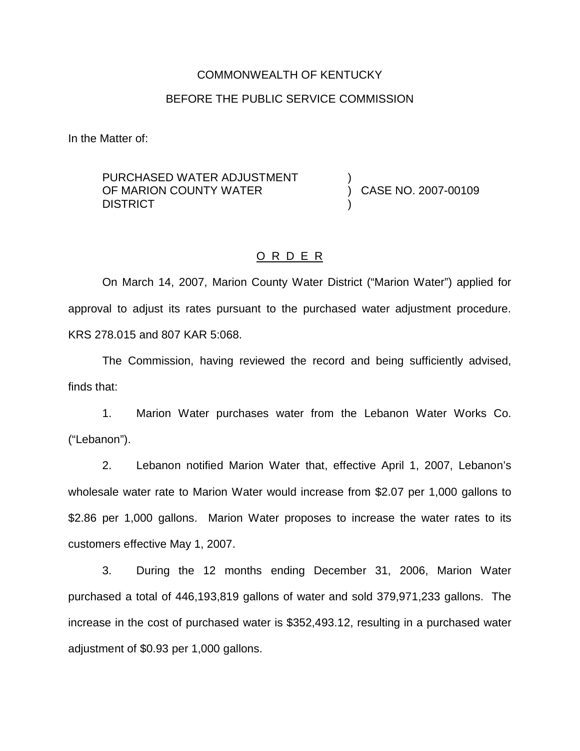#### COMMONWEALTH OF KENTUCKY

### BEFORE THE PUBLIC SERVICE COMMISSION

In the Matter of:

PURCHASED WATER ADJUSTMENT OF MARION COUNTY WATER **DISTRICT** ) )

) CASE NO. 2007-00109

### O R D E R

On March 14, 2007, Marion County Water District ("Marion Water") applied for approval to adjust its rates pursuant to the purchased water adjustment procedure. KRS 278.015 and 807 KAR 5:068.

The Commission, having reviewed the record and being sufficiently advised, finds that:

1. Marion Water purchases water from the Lebanon Water Works Co. ("Lebanon").

2. Lebanon notified Marion Water that, effective April 1, 2007, Lebanon's wholesale water rate to Marion Water would increase from \$2.07 per 1,000 gallons to \$2.86 per 1,000 gallons. Marion Water proposes to increase the water rates to its customers effective May 1, 2007.

3. During the 12 months ending December 31, 2006, Marion Water purchased a total of 446,193,819 gallons of water and sold 379,971,233 gallons. The increase in the cost of purchased water is \$352,493.12, resulting in a purchased water adjustment of \$0.93 per 1,000 gallons.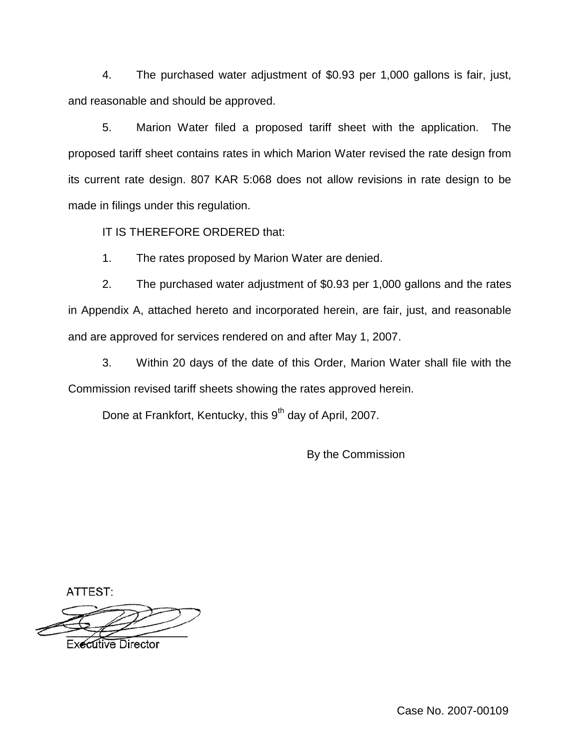4. The purchased water adjustment of \$0.93 per 1,000 gallons is fair, just, and reasonable and should be approved.

5. Marion Water filed a proposed tariff sheet with the application. The proposed tariff sheet contains rates in which Marion Water revised the rate design from its current rate design. 807 KAR 5:068 does not allow revisions in rate design to be made in filings under this regulation.

IT IS THEREFORE ORDERED that:

1. The rates proposed by Marion Water are denied.

2. The purchased water adjustment of \$0.93 per 1,000 gallons and the rates in Appendix A, attached hereto and incorporated herein, are fair, just, and reasonable and are approved for services rendered on and after May 1, 2007.

3. Within 20 days of the date of this Order, Marion Water shall file with the Commission revised tariff sheets showing the rates approved herein.

Done at Frankfort, Kentucky, this 9<sup>th</sup> day of April, 2007.

By the Commission

ATTEST:

**Executive Director** 

Case No. 2007-00109